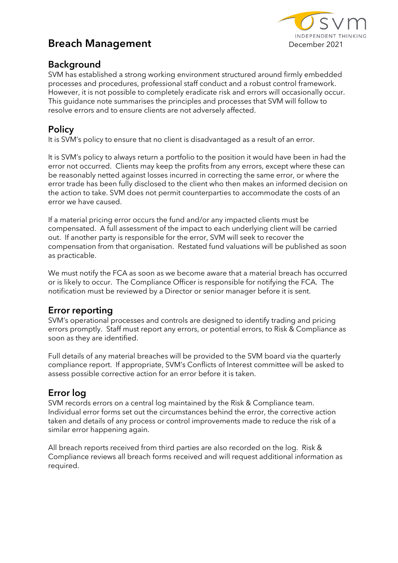

# **Breach Management** December 2021

## **Background**

SVM has established a strong working environment structured around firmly embedded processes and procedures, professional staff conduct and a robust control framework. However, it is not possible to completely eradicate risk and errors will occasionally occur. This guidance note summarises the principles and processes that SVM will follow to resolve errors and to ensure clients are not adversely affected.

# **Policy**

It is SVM's policy to ensure that no client is disadvantaged as a result of an error.

It is SVM's policy to always return a portfolio to the position it would have been in had the error not occurred. Clients may keep the profits from any errors, except where these can be reasonably netted against losses incurred in correcting the same error, or where the error trade has been fully disclosed to the client who then makes an informed decision on the action to take. SVM does not permit counterparties to accommodate the costs of an error we have caused.

If a material pricing error occurs the fund and/or any impacted clients must be compensated. A full assessment of the impact to each underlying client will be carried out. If another party is responsible for the error, SVM will seek to recover the compensation from that organisation. Restated fund valuations will be published as soon as practicable.

We must notify the FCA as soon as we become aware that a material breach has occurred or is likely to occur. The Compliance Officer is responsible for notifying the FCA. The notification must be reviewed by a Director or senior manager before it is sent.

#### **Error reporting**

SVM's operational processes and controls are designed to identify trading and pricing errors promptly. Staff must report any errors, or potential errors, to Risk & Compliance as soon as they are identified.

Full details of any material breaches will be provided to the SVM board via the quarterly compliance report. If appropriate, SVM's Conflicts of Interest committee will be asked to assess possible corrective action for an error before it is taken.

# **Error log**

SVM records errors on a central log maintained by the Risk & Compliance team. Individual error forms set out the circumstances behind the error, the corrective action taken and details of any process or control improvements made to reduce the risk of a similar error happening again.

All breach reports received from third parties are also recorded on the log. Risk & Compliance reviews all breach forms received and will request additional information as required.